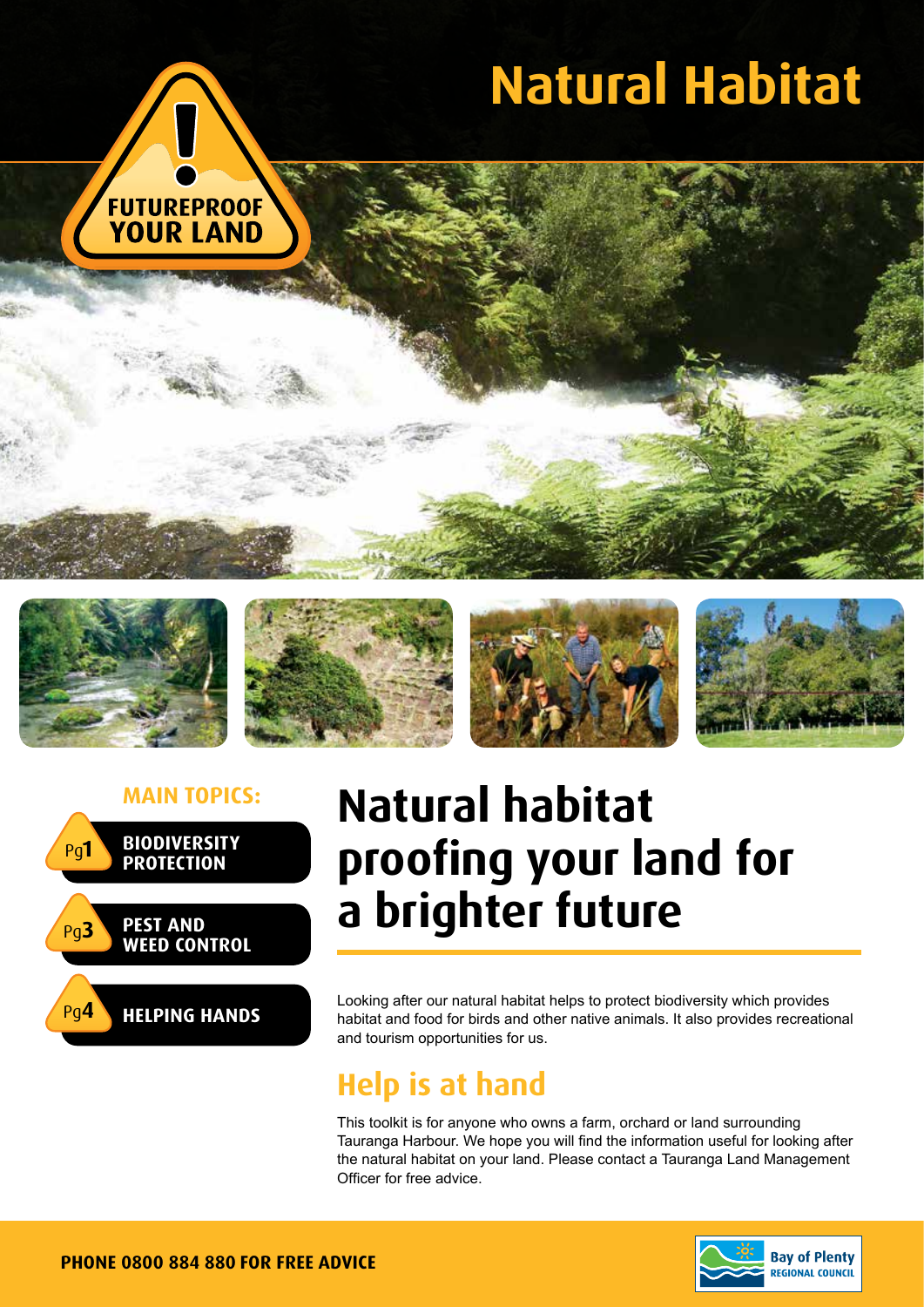

# **Natural Habitat**











## **Main topics: Natural habitat proofing your land for a brighter future**

Looking after our natural habitat helps to protect biodiversity which provides habitat and food for birds and other native animals. It also provides recreational and tourism opportunities for us.

### **Help is at hand**

This toolkit is for anyone who owns a farm, orchard or land surrounding Tauranga Harbour. We hope you will find the information useful for looking after the natural habitat on your land. Please contact a Tauranga Land Management Officer for free advice.

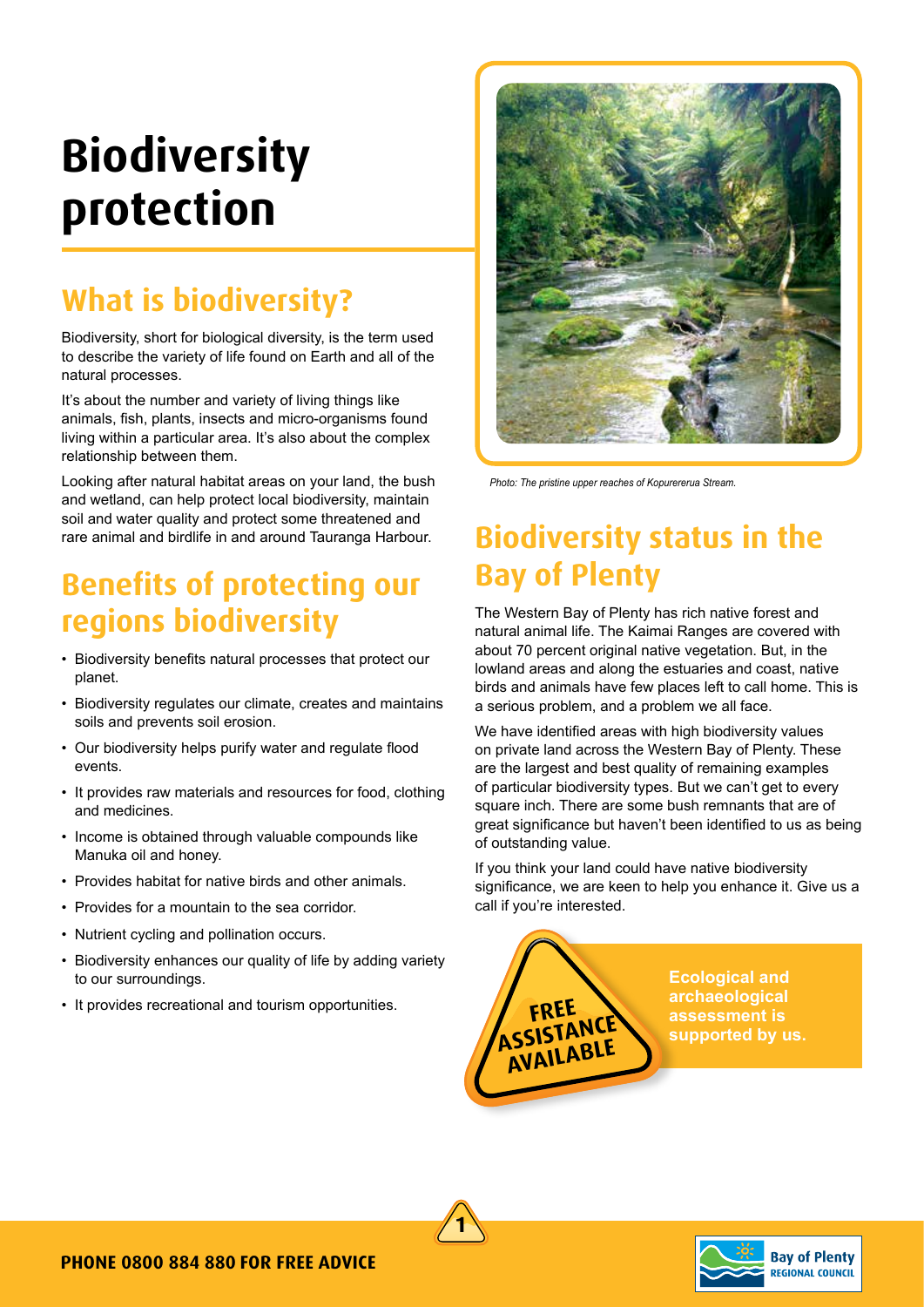## **Biodiversity protection**

## **What is biodiversity?**

Biodiversity, short for biological diversity, is the term used to describe the variety of life found on Earth and all of the natural processes.

It's about the number and variety of living things like animals, fish, plants, insects and micro-organisms found living within a particular area. It's also about the complex relationship between them.

Looking after natural habitat areas on your land, the bush and wetland, can help protect local biodiversity, maintain soil and water quality and protect some threatened and rare animal and birdlife in and around Tauranga Harbour.

### **Benefits of protecting our regions biodiversity**

- Biodiversity benefits natural processes that protect our planet.
- Biodiversity regulates our climate, creates and maintains soils and prevents soil erosion.
- Our biodiversity helps purify water and regulate flood events.
- It provides raw materials and resources for food, clothing and medicines.
- Income is obtained through valuable compounds like Manuka oil and honey.
- Provides habitat for native birds and other animals.
- Provides for a mountain to the sea corridor.
- Nutrient cycling and pollination occurs.
- Biodiversity enhances our quality of life by adding variety to our surroundings.
- It provides recreational and tourism opportunities.



*Photo: The pristine upper reaches of Kopurererua Stream.*

### **Biodiversity status in the Bay of Plenty**

The Western Bay of Plenty has rich native forest and natural animal life. The Kaimai Ranges are covered with about 70 percent original native vegetation. But, in the lowland areas and along the estuaries and coast, native birds and animals have few places left to call home. This is a serious problem, and a problem we all face.

We have identified areas with high biodiversity values on private land across the Western Bay of Plenty. These are the largest and best quality of remaining examples of particular biodiversity types. But we can't get to every square inch. There are some bush remnants that are of great significance but haven't been identified to us as being of outstanding value.

If you think your land could have native biodiversity significance, we are keen to help you enhance it. Give us a call if you're interested.





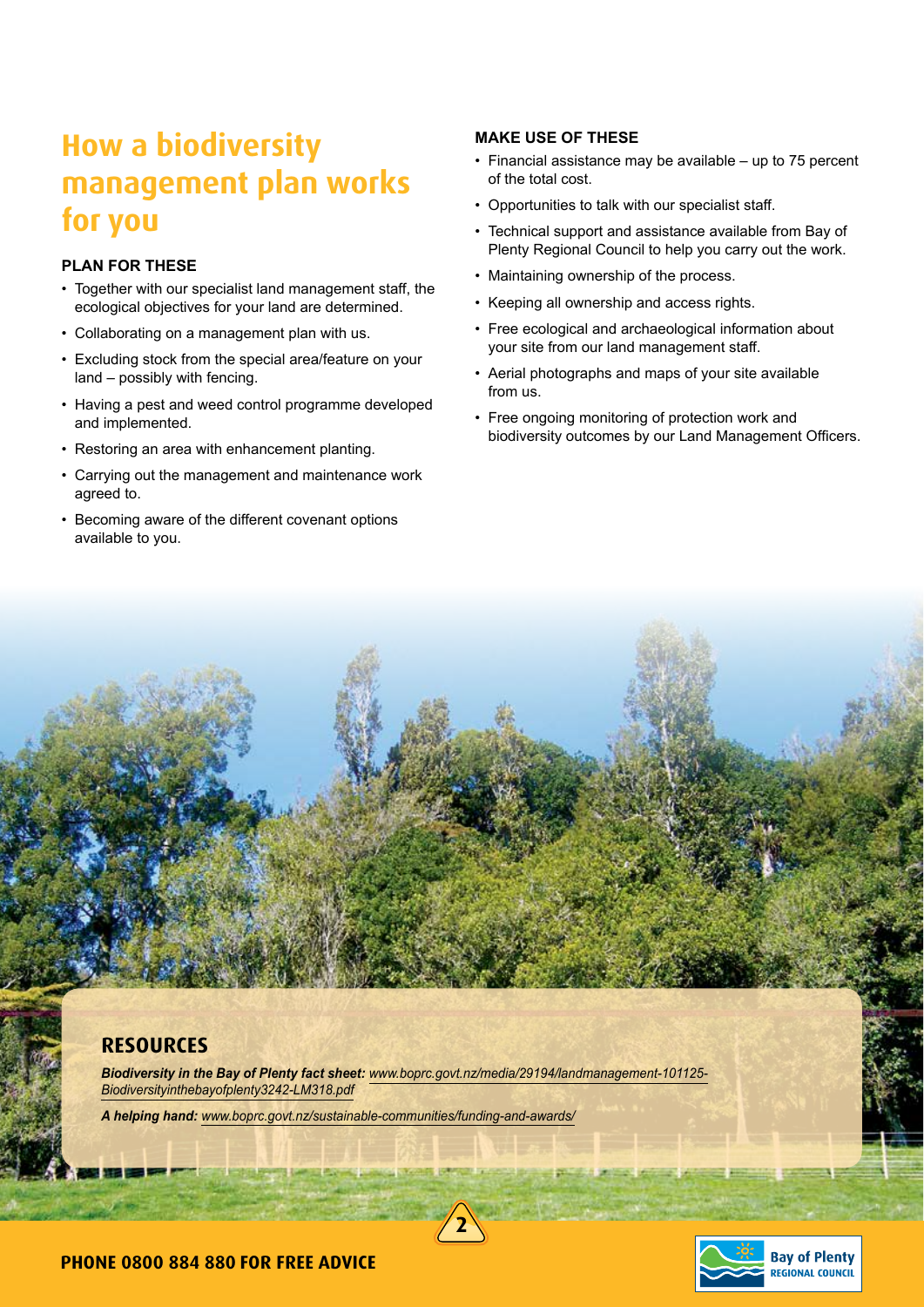### **How a biodiversity management plan works for you**

#### **PLAN FOR THESE**

- Together with our specialist land management staff, the ecological objectives for your land are determined.
- Collaborating on a management plan with us.
- Excluding stock from the special area/feature on your land – possibly with fencing.
- Having a pest and weed control programme developed and implemented.
- Restoring an area with enhancement planting.
- Carrying out the management and maintenance work agreed to.
- Becoming aware of the different covenant options available to you.

#### **MAKE USE OF THESE**

- Financial assistance may be available up to 75 percent of the total cost.
- Opportunities to talk with our specialist staff.
- Technical support and assistance available from Bay of Plenty Regional Council to help you carry out the work.
- Maintaining ownership of the process.
- Keeping all ownership and access rights.
- Free ecological and archaeological information about your site from our land management staff.
- Aerial photographs and maps of your site available from us.
- Free ongoing monitoring of protection work and biodiversity outcomes by our Land Management Officers.

### **Resources**

*Biodiversity in the Bay of Plenty fact sheet: www.boprc.govt.nz/media/29194/landmanagement-101125- Biodiversityinthebayofplenty3242-LM318.pdf*

*A helping hand: www.boprc.govt.nz/sustainable-communities/funding-and-awards/*

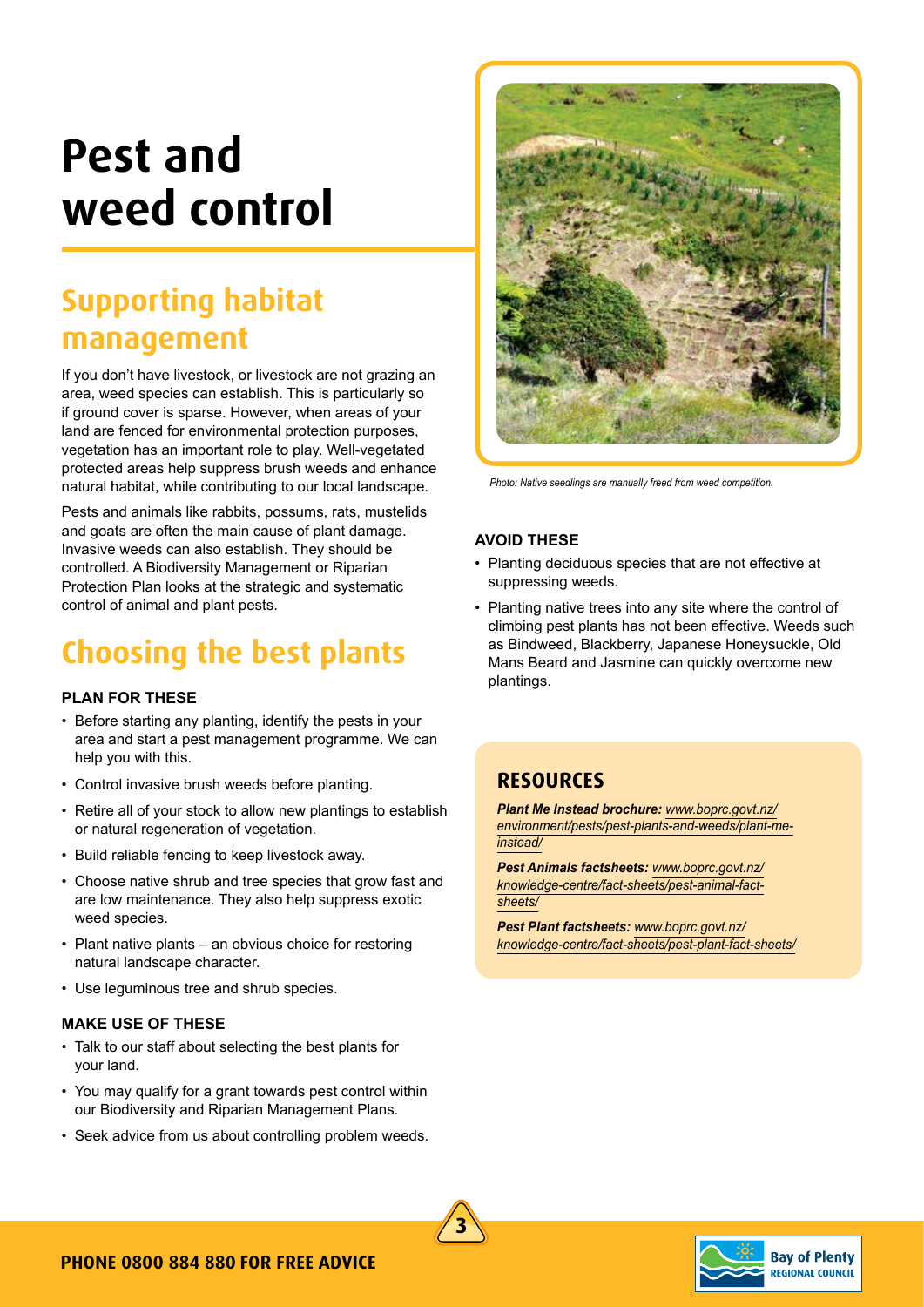## **Pest and weed control**

### **Supporting habitat management**

If you don't have livestock, or livestock are not grazing an area, weed species can establish. This is particularly so if ground cover is sparse. However, when areas of your land are fenced for environmental protection purposes, vegetation has an important role to play. Well-vegetated protected areas help suppress brush weeds and enhance natural habitat, while contributing to our local landscape.

Pests and animals like rabbits, possums, rats, mustelids and goats are often the main cause of plant damage. Invasive weeds can also establish. They should be controlled. A Biodiversity Management or Riparian Protection Plan looks at the strategic and systematic control of animal and plant pests.

### **Choosing the best plants**

#### **PLAN FOR THESE**

- Before starting any planting, identify the pests in your area and start a pest management programme. We can help you with this.
- Control invasive brush weeds before planting.
- Retire all of your stock to allow new plantings to establish or natural regeneration of vegetation.
- Build reliable fencing to keep livestock away.
- Choose native shrub and tree species that grow fast and are low maintenance. They also help suppress exotic weed species.
- Plant native plants an obvious choice for restoring natural landscape character.
- Use leguminous tree and shrub species.

#### **MAKE USE OF THESE**

- Talk to our staff about selecting the best plants for your land.
- You may qualify for a grant towards pest control within our Biodiversity and Riparian Management Plans.
- Seek advice from us about controlling problem weeds.



*Photo: Native seedlings are manually freed from weed competition.*

#### **AVOID THESE**

- Planting deciduous species that are not effective at suppressing weeds.
- Planting native trees into any site where the control of climbing pest plants has not been effective. Weeds such as Bindweed, Blackberry, Japanese Honeysuckle, Old Mans Beard and Jasmine can quickly overcome new plantings.

### **Resources**

*Plant Me Instead brochure: www.boprc.govt.nz/ environment/pests/pest-plants-and-weeds/plant-meinstead/*

*Pest Animals factsheets: www.boprc.govt.nz/ knowledge-centre/fact-sheets/pest-animal-factsheets/*

*Pest Plant factsheets: www.boprc.govt.nz/ knowledge-centre/fact-sheets/pest-plant-fact-sheets/*



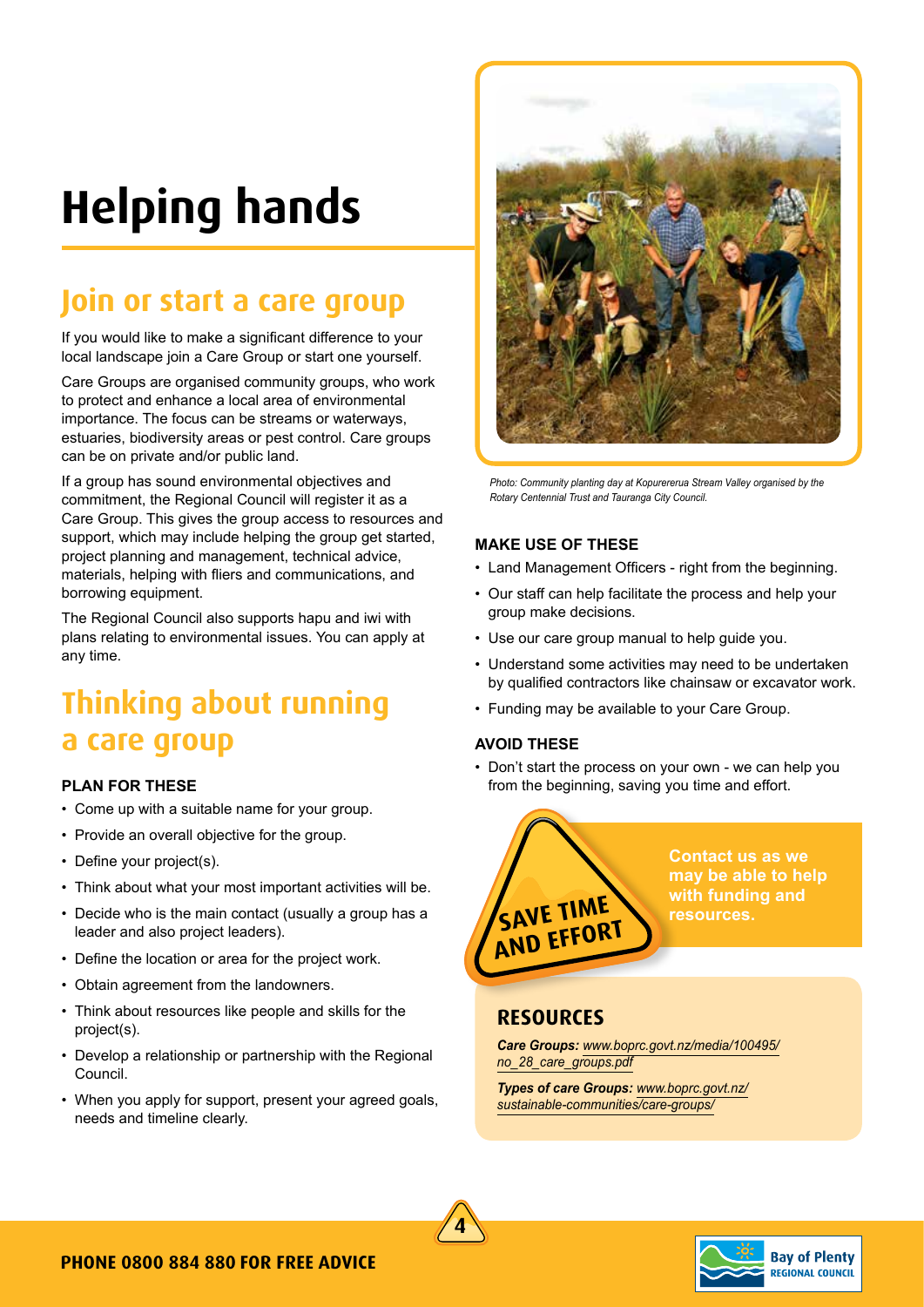## **Helping hands**

### **Join or start a care group**

If you would like to make a significant difference to your local landscape join a Care Group or start one yourself.

Care Groups are organised community groups, who work to protect and enhance a local area of environmental importance. The focus can be streams or waterways, estuaries, biodiversity areas or pest control. Care groups can be on private and/or public land.

If a group has sound environmental objectives and commitment, the Regional Council will register it as a Care Group. This gives the group access to resources and support, which may include helping the group get started, project planning and management, technical advice, materials, helping with fliers and communications, and borrowing equipment.

The Regional Council also supports hapu and iwi with plans relating to environmental issues. You can apply at any time.

### **Thinking about running a care group**

#### **PLAN FOR THESE**

- Come up with a suitable name for your group.
- Provide an overall objective for the group.
- Define your project(s).
- Think about what your most important activities will be.
- Decide who is the main contact (usually a group has a leader and also project leaders).
- Define the location or area for the project work.
- Obtain agreement from the landowners.
- Think about resources like people and skills for the project(s).
- Develop a relationship or partnership with the Regional Council.
- When you apply for support, present your agreed goals, needs and timeline clearly.



*Photo: Community planting day at Kopurererua Stream Valley organised by the Rotary Centennial Trust and Tauranga City Council.*

#### **MAKE USE OF THESE**

- Land Management Officers right from the beginning.
- Our staff can help facilitate the process and help your group make decisions.
- Use our care group manual to help guide you.
- Understand some activities may need to be undertaken by qualified contractors like chainsaw or excavator work.
- Funding may be available to your Care Group.

#### **AVOID THESE**

• Don't start the process on your own - we can help you from the beginning, saving you time and effort.



**Contact us as we may be able to help with funding and resources.**

### **Resources**

*Care Groups: www.boprc.govt.nz/media/100495/ no\_28\_care\_groups.pdf*

*Types of care Groups: www.boprc.govt.nz/ sustainable-communities/care-groups/*